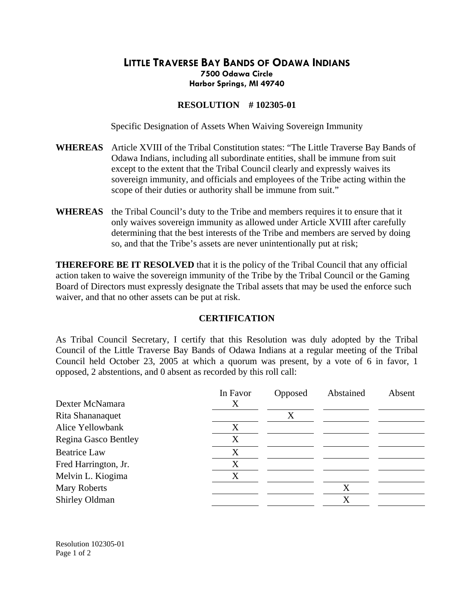## **LITTLE TRAVERSE BAY BANDS OF ODAWA INDIANS 7500 Odawa Circle Harbor Springs, MI 49740**

## **RESOLUTION # 102305-01**

Specific Designation of Assets When Waiving Sovereign Immunity

- **WHEREAS** Article XVIII of the Tribal Constitution states: "The Little Traverse Bay Bands of Odawa Indians, including all subordinate entities, shall be immune from suit except to the extent that the Tribal Council clearly and expressly waives its sovereign immunity, and officials and employees of the Tribe acting within the scope of their duties or authority shall be immune from suit."
- **WHEREAS** the Tribal Council's duty to the Tribe and members requires it to ensure that it only waives sovereign immunity as allowed under Article XVIII after carefully determining that the best interests of the Tribe and members are served by doing so, and that the Tribe's assets are never unintentionally put at risk;

**THEREFORE BE IT RESOLVED** that it is the policy of the Tribal Council that any official action taken to waive the sovereign immunity of the Tribe by the Tribal Council or the Gaming Board of Directors must expressly designate the Tribal assets that may be used the enforce such waiver, and that no other assets can be put at risk.

## **CERTIFICATION**

As Tribal Council Secretary, I certify that this Resolution was duly adopted by the Tribal Council of the Little Traverse Bay Bands of Odawa Indians at a regular meeting of the Tribal Council held October 23, 2005 at which a quorum was present, by a vote of 6 in favor, 1 opposed, 2 abstentions, and 0 absent as recorded by this roll call:

|                      | In Favor | Opposed | Abstained | Absent |
|----------------------|----------|---------|-----------|--------|
| Dexter McNamara      | X        |         |           |        |
| Rita Shananaquet     |          | X       |           |        |
| Alice Yellowbank     | X        |         |           |        |
| Regina Gasco Bentley | X        |         |           |        |
| <b>Beatrice Law</b>  | X        |         |           |        |
| Fred Harrington, Jr. | X        |         |           |        |
| Melvin L. Kiogima    | X        |         |           |        |
| <b>Mary Roberts</b>  |          |         | X         |        |
| Shirley Oldman       |          |         | X         |        |

Resolution 102305-01 Page 1 of 2